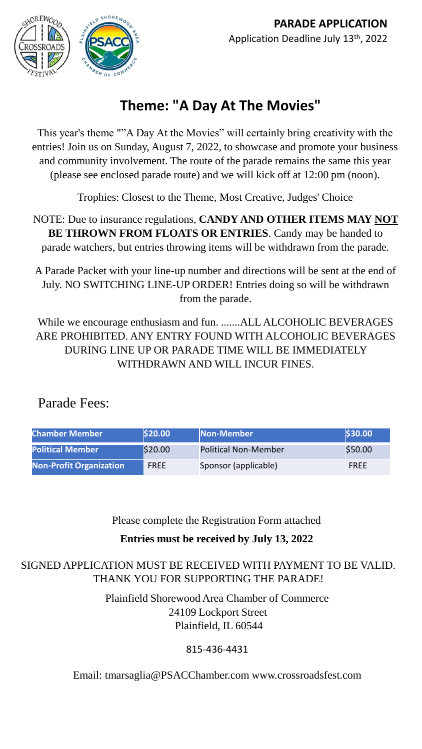

# **Theme: "A Day At The Movies"**

This year's theme ""A Day At the Movies" will certainly bring creativity with the entries! Join us on Sunday, August 7, 2022, to showcase and promote your business and community involvement. The route of the parade remains the same this year (please see enclosed parade route) and we will kick off at 12:00 pm (noon).

Trophies: Closest to the Theme, Most Creative, Judges' Choice

NOTE: Due to insurance regulations, **CANDY AND OTHER ITEMS MAY NOT BE THROWN FROM FLOATS OR ENTRIES**. Candy may be handed to parade watchers, but entries throwing items will be withdrawn from the parade.

A Parade Packet with your line-up number and directions will be sent at the end of July. NO SWITCHING LINE-UP ORDER! Entries doing so will be withdrawn from the parade.

While we encourage enthusiasm and fun. .......ALL ALCOHOLIC BEVERAGES ARE PROHIBITED. ANY ENTRY FOUND WITH ALCOHOLIC BEVERAGES DURING LINE UP OR PARADE TIME WILL BE IMMEDIATELY WITHDRAWN AND WILL INCUR FINES.

## Parade Fees:

| <b>Chamber Member</b>          | \$20.00     | Non-Member                  | \$30.00 |
|--------------------------------|-------------|-----------------------------|---------|
| <b>Political Member</b>        | \$20.00     | <b>Political Non-Member</b> | \$50.00 |
| <b>Non-Profit Organization</b> | <b>FREE</b> | Sponsor (applicable)        | FREE    |

#### Please complete the Registration Form attached

### **Entries must be received by July 13, 2022**

#### SIGNED APPLICATION MUST BE RECEIVED WITH PAYMENT TO BE VALID. THANK YOU FOR SUPPORTING THE PARADE!

Plainfield Shorewood Area Chamber of Commerce 24109 Lockport Street Plainfield, IL 60544

### 815-436-4431

Email: tmarsaglia@PSACChamber.com www.crossroadsfest.com